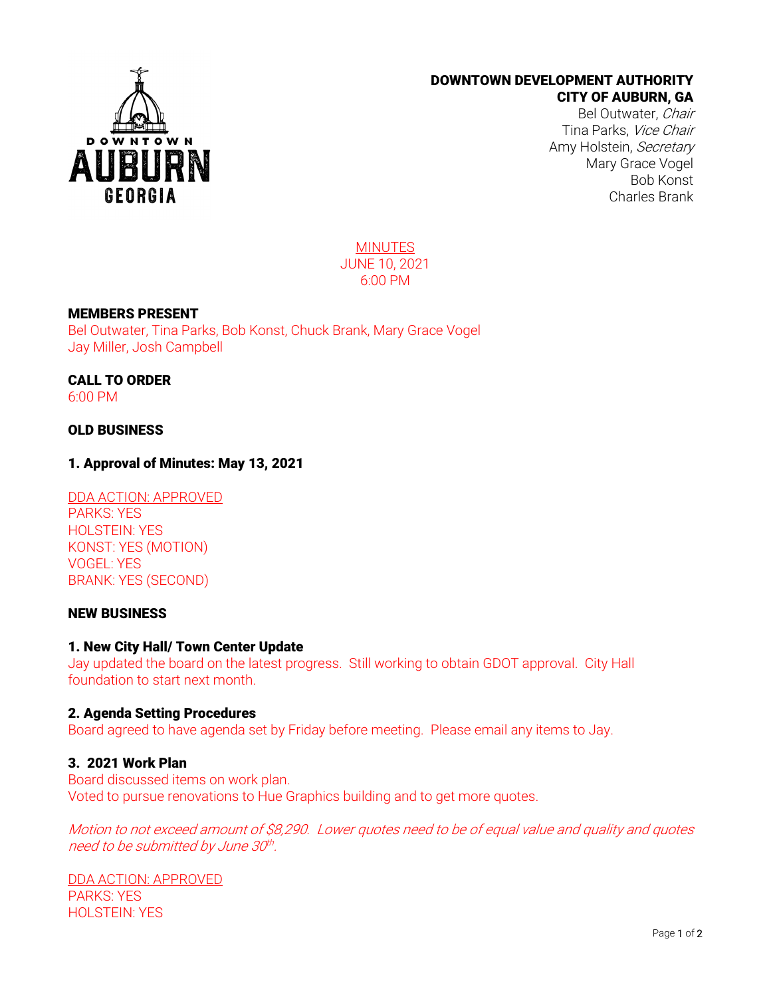

# DOWNTOWN DEVELOPMENT AUTHORITY CITY OF AUBURN, GA

Bel Outwater, Chair Tina Parks, Vice Chair Amy Holstein, Secretary Mary Grace Vogel Bob Konst Charles Brank

MINUTES JUNE 10, 2021 6:00 PM

## MEMBERS PRESENT

Bel Outwater, Tina Parks, Bob Konst, Chuck Brank, Mary Grace Vogel Jay Miller, Josh Campbell

CALL TO ORDER 6:00 PM

## OLD BUSINESS

## 1. Approval of Minutes: May 13, 2021

DDA ACTION: APPROVED PARKS: YES HOLSTEIN: YES KONST: YES (MOTION) VOGEL: YES BRANK: YES (SECOND)

# NEW BUSINESS

#### 1. New City Hall/ Town Center Update

Jay updated the board on the latest progress. Still working to obtain GDOT approval. City Hall foundation to start next month.

#### 2. Agenda Setting Procedures

Board agreed to have agenda set by Friday before meeting. Please email any items to Jay.

#### 3. 2021 Work Plan

Board discussed items on work plan. Voted to pursue renovations to Hue Graphics building and to get more quotes.

Motion to not exceed amount of \$8,290. Lower quotes need to be of equal value and quality and quotes need to be submitted by June 30th.

DDA ACTION: APPROVED PARKS: YES HOLSTEIN: YES